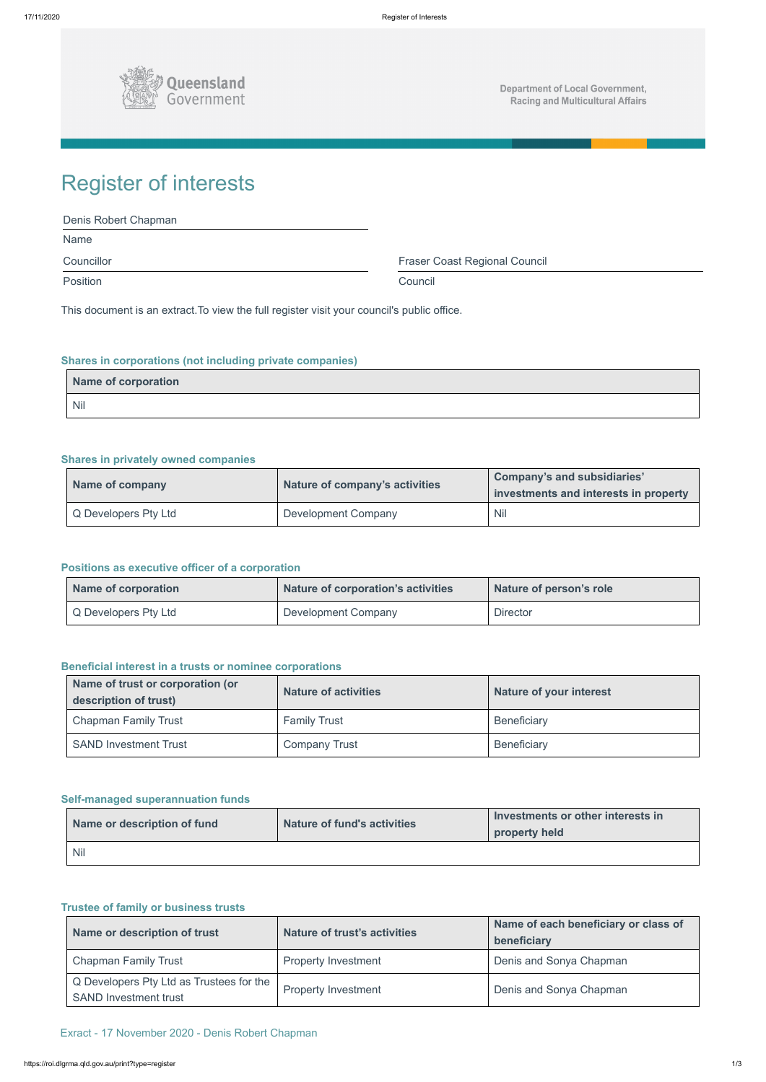

**Department of Local Government, Racing and Multicultural Affairs** 

| Denis Robert Chapman |                                      |
|----------------------|--------------------------------------|
| <b>Name</b>          |                                      |
| Councillor           | <b>Fraser Coast Regional Council</b> |
| <b>Position</b>      | Council                              |

# Register of interests

This document is an extract.To view the full register visit your council's public office.

# **Shares in corporations (not including private companies)**

| Name of corporation |  |
|---------------------|--|
| <b>Nil</b>          |  |

# **Shares in privately owned companies**

| Name of company      | Nature of company's activities | Company's and subsidiaries'<br>investments and interests in property |
|----------------------|--------------------------------|----------------------------------------------------------------------|
| Q Developers Pty Ltd | <b>Development Company</b>     | <b>Nil</b>                                                           |

## **Positions as executive officer of a corporation**

| Name of corporation  | Nature of corporation's activities | Nature of person's role |
|----------------------|------------------------------------|-------------------------|
| Q Developers Pty Ltd | Development Company                | <b>Director</b>         |

### **Beneficial interest in a trusts or nominee corporations**

| Name of trust or corporation (or<br>description of trust) | <b>Nature of activities</b> | <b>Nature of your interest</b> |
|-----------------------------------------------------------|-----------------------------|--------------------------------|
| <b>Chapman Family Trust</b>                               | <b>Family Trust</b>         | <b>Beneficiary</b>             |
| <b>SAND Investment Trust</b>                              | <b>Company Trust</b>        | <b>Beneficiary</b>             |

## **Self-managed superannuation funds**

|  | I Investments or other interests in |
|--|-------------------------------------|

| Name or description of fund | <b>Nature of fund's activities</b> | Investments or other interests in<br>property held |
|-----------------------------|------------------------------------|----------------------------------------------------|
| l Nil                       |                                    |                                                    |

#### **Trustee of family or business trusts**

| Name or description of trust                                             | <b>Nature of trust's activities</b> | Name of each beneficiary or class of<br>beneficiary |
|--------------------------------------------------------------------------|-------------------------------------|-----------------------------------------------------|
| <b>Chapman Family Trust</b>                                              | <b>Property Investment</b>          | Denis and Sonya Chapman                             |
| Q Developers Pty Ltd as Trustees for the<br><b>SAND Investment trust</b> | <b>Property Investment</b>          | Denis and Sonya Chapman                             |

Exract - 17 November 2020 - Denis Robert Chapman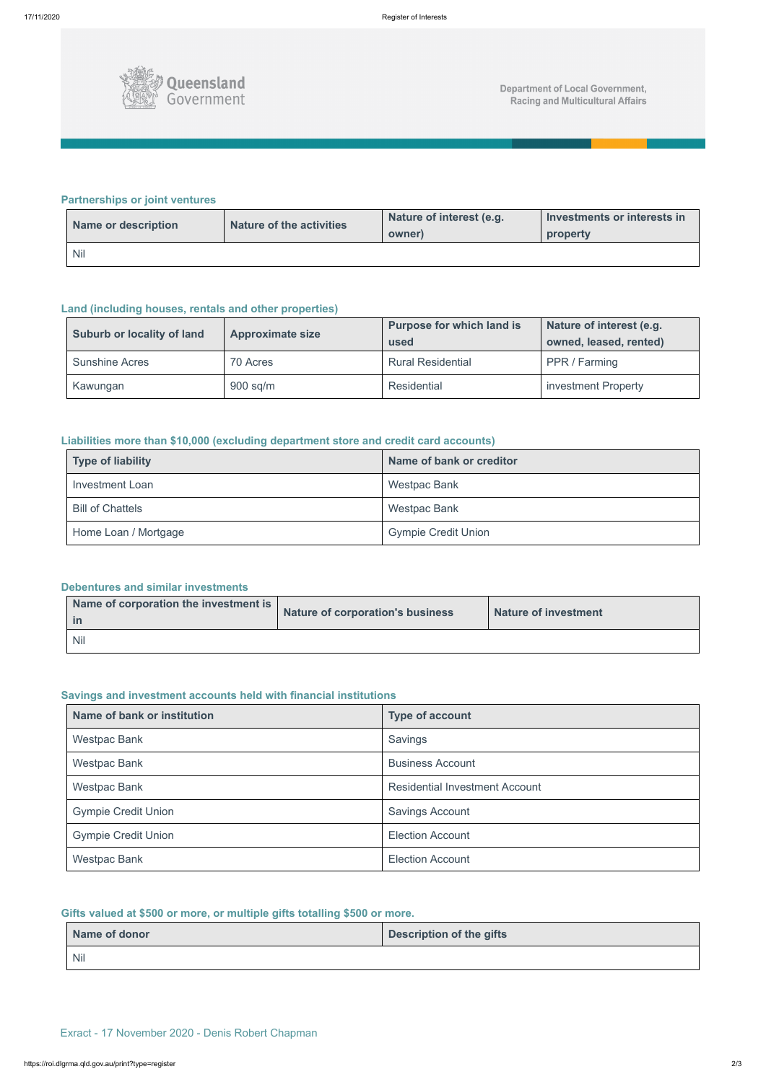

# **Partnerships or joint ventures**

| Name or description | Nature of the activities | Nature of interest (e.g.<br>owner) | Investments or interests in<br>property |
|---------------------|--------------------------|------------------------------------|-----------------------------------------|
| <b>Nil</b>          |                          |                                    |                                         |

# **Land (including houses, rentals and other properties)**

| Suburb or locality of land | <b>Approximate size</b> | <b>Purpose for which land is</b><br>used | Nature of interest (e.g.<br>owned, leased, rented) |
|----------------------------|-------------------------|------------------------------------------|----------------------------------------------------|
| <b>Sunshine Acres</b>      | 70 Acres                | <b>Rural Residential</b>                 | PPR / Farming                                      |
| Kawungan                   | $900$ sq/m              | Residential                              | investment Property                                |

# **Liabilities more than \$10,000 (excluding department store and credit card accounts)**

| Type of liability       | Name of bank or creditor   |
|-------------------------|----------------------------|
| <b>Investment Loan</b>  | <b>Westpac Bank</b>        |
| <b>Bill of Chattels</b> | <b>Westpac Bank</b>        |
| Home Loan / Mortgage    | <b>Gympie Credit Union</b> |

## **Debentures and similar investments**

| Name of corporation the investment is | Nature of corporation's business | Nature of investment |
|---------------------------------------|----------------------------------|----------------------|
| <b>Nil</b>                            |                                  |                      |

# **Savings and investment accounts held with financial institutions**

| Name of bank or institution | <b>Type of account</b>                |  |
|-----------------------------|---------------------------------------|--|
| <b>Westpac Bank</b>         | Savings                               |  |
| <b>Westpac Bank</b>         | <b>Business Account</b>               |  |
| <b>Westpac Bank</b>         | <b>Residential Investment Account</b> |  |
| <b>Gympie Credit Union</b>  | <b>Savings Account</b>                |  |
| <b>Gympie Credit Union</b>  | <b>Election Account</b>               |  |
| <b>Westpac Bank</b>         | <b>Election Account</b>               |  |

## **Gifts valued at \$500 or more, or multiple gifts totalling \$500 or more.**

| Name of donor | <b>Description of the gifts</b> |
|---------------|---------------------------------|
| <b>Nil</b>    |                                 |

Exract - 17 November 2020 - Denis Robert Chapman